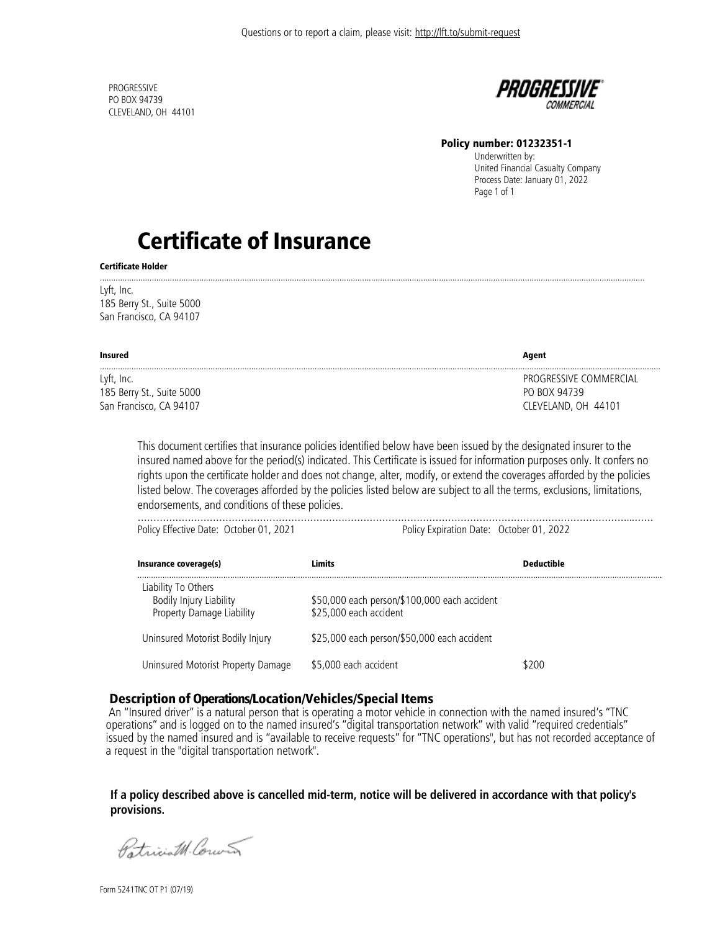**PROGRESSIVE** PO BOX 94739 CLEVELAND, OH 44101



#### Policy number: 01232351-1

 Underwritten by: United Financial Casualty Company Process Date: January 01, 2022 Page 1 of 1

# Certificate of Insurance

Certificate Holder

Lyft, Inc. 185 Berry St., Suite 5000 San Francisco, CA 94107

| Insured                   | Agent                  |
|---------------------------|------------------------|
| Lyft, Inc.                | PROGRESSIVE COMMERCIAL |
| 185 Berry St., Suite 5000 | PO BOX 94739           |
| San Francisco, CA 94107   | CLEVELAND, OH 44101    |

.................................................................................................................................................................................................................................................

This document certifies that insurance policies identified below have been issued by the designated insurer to the insured named above for the period(s) indicated. This Certificate is issued for information purposes only. It confers no rights upon the certificate holder and does not change, alter, modify, or extend the coverages afforded by the policies listed below. The coverages afforded by the policies listed below are subject to all the terms, exclusions, limitations, endorsements, and conditions of these policies.

| Policy Effective Date: October 01, 2021 | Policy Expiration Date: October 01, 2022 |  |
|-----------------------------------------|------------------------------------------|--|
|                                         |                                          |  |

| Insurance coverage(s)                                                       | Limits                                                                 | <b>Deductible</b> |
|-----------------------------------------------------------------------------|------------------------------------------------------------------------|-------------------|
| Liability To Others<br>Bodily Injury Liability<br>Property Damage Liability | \$50,000 each person/\$100,000 each accident<br>\$25,000 each accident |                   |
| Uninsured Motorist Bodily Injury                                            | \$25,000 each person/\$50,000 each accident                            |                   |
| Uninsured Motorist Property Damage                                          | \$5,000 each accident                                                  | \$200             |

## Description of Operations/Location/Vehicles/Special Items

An "Insured driver" is a natural person that is operating a motor vehicle in connection with the named insured's "TNC operations" and is logged on to the named insured's "digital transportation network" with valid "required credentials" issued by the named insured and is "available to receive requests" for "TNC operations", but has not recorded acceptance of a request in the "digital transportation network".

## **If a policy described above is cancelled mid-term, notice will be delivered in accordance with that policy's provisions.**

Patriciat Corners

Form 5241TNC OT P1 (07/19)